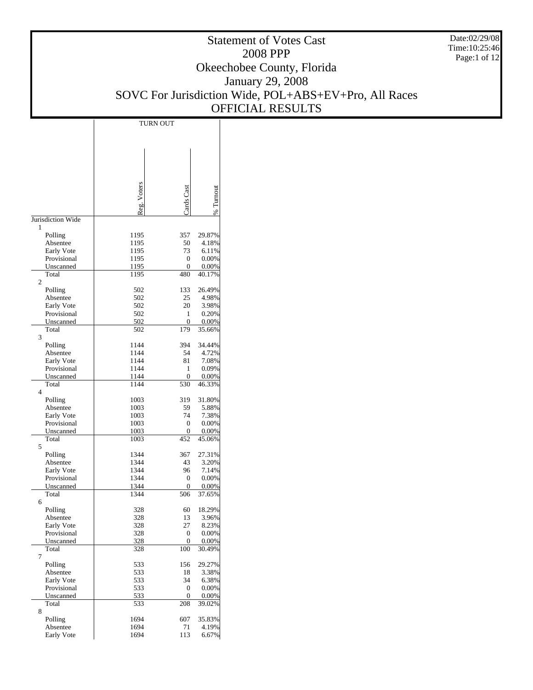Date:02/29/08 Time:10:25:46 Page:1 of 12

# Statement of Votes Cast 2008 PPP Okeechobee County, Florida January 29, 2008 SOVC For Jurisdiction Wide, POL+ABS+EV+Pro, All Races OFFICIAL RESULTS

|                           | <b>TURN OUT</b> |                         |                 |
|---------------------------|-----------------|-------------------------|-----------------|
|                           |                 |                         |                 |
|                           |                 |                         |                 |
|                           |                 |                         |                 |
|                           |                 |                         |                 |
|                           |                 |                         |                 |
|                           |                 |                         |                 |
|                           |                 |                         |                 |
|                           |                 |                         |                 |
|                           |                 | Jards Cast              |                 |
|                           | Reg. Voters     |                         | % Turnou        |
| Jurisdiction Wide         |                 |                         |                 |
| 1                         |                 |                         |                 |
| Polling                   | 1195            | 357                     | 29.87%          |
| Absentee                  | 1195            | 50                      | 4.18%           |
| Early Vote                | 1195            | 73                      | 6.11%           |
| Provisional               | 1195            | $\boldsymbol{0}$        | 0.00%           |
| Unscanned<br>Total        | 1195<br>1195    | 0<br>480                | 0.00%<br>40.17% |
| 2                         |                 |                         |                 |
| Polling                   | 502             | 133                     | 26.49%          |
| Absentee                  | 502             | 25                      | 4.98%           |
| Early Vote                | 502             | 20                      | 3.98%           |
| Provisional               | 502             | 1                       | 0.20%           |
| Unscanned                 | 502             | 0                       | 0.00%           |
| Total                     | 502             | 179                     | 35.66%          |
| 3                         |                 |                         |                 |
| Polling                   | 1144            | 394                     | 34.44%          |
| Absentee                  | 1144            | 54                      | 4.72%           |
| Early Vote                | 1144            | 81                      | 7.08%           |
| Provisional               | 1144            | 1                       | 0.09%           |
| Unscanned<br>Total        | 1144<br>1144    | $\boldsymbol{0}$<br>530 | 0.00%<br>46.33% |
| 4                         |                 |                         |                 |
| Polling                   | 1003            | 319                     | 31.80%          |
| Absentee                  | 1003            | 59                      | 5.88%           |
| Early Vote                | 1003            | 74                      | 7.38%           |
| Provisional               | 1003            | $\mathbf{0}$            | 0.00%           |
| Unscanned                 | 1003            | 0                       | 0.00%           |
| Total                     | 1003            | 452                     | 45.06%          |
| 5                         |                 |                         |                 |
| Polling                   | 1344            | 367                     | 27.31%          |
| Absentee                  | 1344<br>1344    | 43                      | 3.20%           |
| Early Vote<br>Provisional | 1344            | 96<br>0                 | 7.14%<br>0.00%  |
| Unscanned                 | 1344            | 0                       | 0.00%           |
| Total                     | 1344            | 506                     | 37.65%          |
| 6                         |                 |                         |                 |
| Polling                   | 328             | 60                      | 18.29%          |
| Absentee                  | 328             | 13                      | 3.96%           |
| Early Vote                | 328             | 27                      | 8.23%           |
| Provisional               | 328             | 0                       | 0.00%           |
| Unscanned                 | 328             | 0                       | 0.00%           |
| Total                     | 328             | 100                     | 30.49%          |
| 7                         |                 |                         |                 |
| Polling<br>Absentee       | 533<br>533      | 156<br>18               | 29.27%<br>3.38% |
| Early Vote                | 533             | 34                      | 6.38%           |
| Provisional               | 533             | 0                       | 0.00%           |
| Unscanned                 | 533             | 0                       | 0.00%           |
| Total                     | 533             | 208                     | 39.02%          |
| 8                         |                 |                         |                 |
| Polling                   | 1694            | 607                     | 35.83%          |
| Absentee                  | 1694            | 71                      | 4.19%           |
| Early Vote                | 1694            | 113                     | 6.67%           |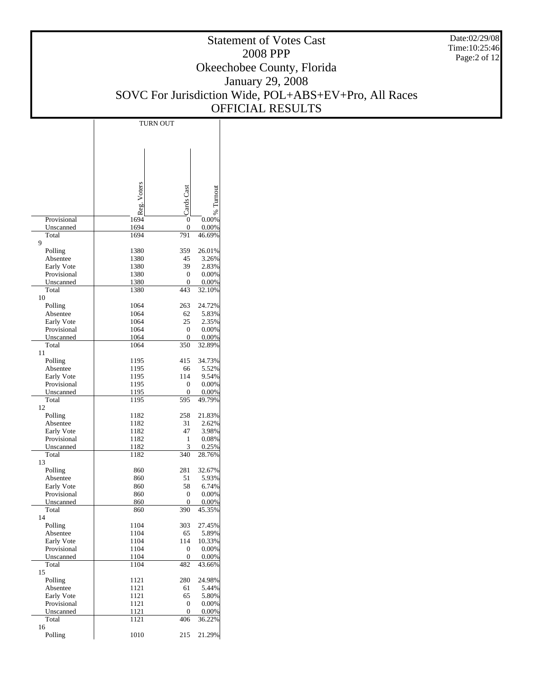Date:02/29/08 Time:10:25:46 Page:2 of 12

|                           | <b>TURN OUT</b> |                     |                 |
|---------------------------|-----------------|---------------------|-----------------|
|                           |                 |                     |                 |
|                           |                 |                     |                 |
|                           |                 |                     |                 |
|                           |                 |                     |                 |
|                           |                 |                     |                 |
|                           |                 |                     |                 |
|                           |                 |                     |                 |
|                           | Reg. Voters     | Cards Cas           | % Turnou        |
|                           |                 |                     |                 |
| Provisional               | 1694            | $\mathbf{0}$        | 0.00%           |
| Unscanned<br>Total        | 1694<br>1694    | $\mathbf{0}$<br>791 | 0.00%<br>46.69% |
| 9                         |                 |                     |                 |
| Polling                   | 1380            | 359                 | 26.01%          |
| Absentee                  | 1380            | 45                  | 3.26%           |
| Early Vote                | 1380            | 39                  | 2.83%           |
| Provisional<br>Unscanned  | 1380<br>1380    | 0<br>$\overline{0}$ | 0.00%<br>0.00%  |
| Total                     | 1380            | 443                 | 32.10%          |
| 10                        |                 |                     |                 |
| Polling                   | 1064            | 263                 | 24.72%          |
| Absentee                  | 1064            | 62                  | 5.83%           |
| Early Vote<br>Provisional | 1064<br>1064    | 25<br>0             | 2.35%<br>0.00%  |
| Unscanned                 | 1064            | $\overline{0}$      | 0.00%           |
| Total                     | 1064            | 350                 | 32.89%          |
| 11                        |                 |                     |                 |
| Polling                   | 1195            | 415                 | 34.73%          |
| Absentee<br>Early Vote    | 1195<br>1195    | 66<br>114           | 5.52%<br>9.54%  |
| Provisional               | 1195            | 0                   | 0.00%           |
| Unscanned                 | 1195            | 0                   | 0.00%           |
| Total                     | 1195            | 595                 | 49.79%          |
| 12                        |                 |                     |                 |
| Polling<br>Absentee       | 1182<br>1182    | 258<br>31           | 21.83%<br>2.62% |
| Early Vote                | 1182            | 47                  | 3.98%           |
| Provisional               | 1182            | 1                   | 0.08%           |
| Unscanned                 | 1182            | 3                   | 0.25%           |
| Total                     | 1182            | 340                 | 28.76%          |
| 13<br>Polling             | 860             | 281                 | 32.67%          |
| Absentee                  | 860             | 51                  | 5.93%           |
| Early Vote                | 860             | 58                  | 6.74%           |
| Provisional               | 860             | 0                   | 0.00%           |
| Unscanned                 | 860             | $\mathbf{0}$        | 0.00%           |
| Total<br>14               | 860             | 390                 | 45.35%          |
| Polling                   | 1104            | 303                 | 27.45%          |
| Absentee                  | 1104            | 65                  | 5.89%           |
| Early Vote                | 1104            | 114                 | 10.33%          |
| Provisional               | 1104            | 0<br>$\overline{0}$ | 0.00%           |
| Unscanned<br>Total        | 1104<br>1104    | 482                 | 0.00%<br>43.66% |
| 15                        |                 |                     |                 |
| Polling                   | 1121            | 280                 | 24.98%          |
| Absentee                  | 1121            | 61                  | 5.44%           |
| Early Vote                | 1121            | 65                  | 5.80%           |
| Provisional<br>Unscanned  | 1121<br>1121    | 0<br>0              | 0.00%<br>0.00%  |
| Total                     | 1121            | 406                 | 36.22%          |
| 16                        |                 |                     |                 |
| Polling                   | 1010            | 215                 | 21.29%          |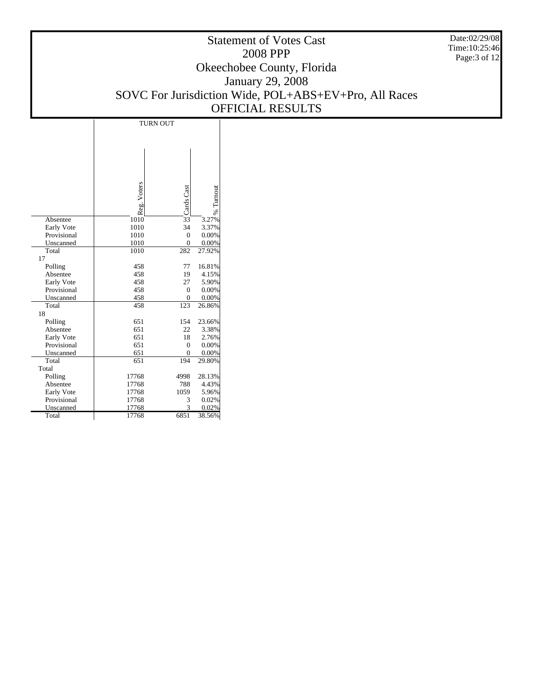Date:02/29/08 Time:10:25:46 Page:3 of 12

|             | <b>TURN OUT</b> |                  |           |  |  |  |
|-------------|-----------------|------------------|-----------|--|--|--|
|             |                 |                  |           |  |  |  |
|             |                 |                  |           |  |  |  |
|             |                 |                  |           |  |  |  |
|             |                 |                  |           |  |  |  |
|             |                 |                  |           |  |  |  |
|             |                 |                  |           |  |  |  |
|             |                 |                  |           |  |  |  |
|             | Reg. Voters     | Cards Cast       |           |  |  |  |
|             |                 |                  |           |  |  |  |
|             |                 |                  | % Turnout |  |  |  |
| Absentee    | 1010            | $\overline{33}$  | 3.27%     |  |  |  |
| Early Vote  | 1010            | 34               | 3.37%     |  |  |  |
| Provisional | 1010            | $\overline{0}$   | 0.00%     |  |  |  |
| Unscanned   | 1010            | $\boldsymbol{0}$ | 0.00%     |  |  |  |
| Total       | 1010            | 282              | 27.92%    |  |  |  |
| 17          |                 |                  |           |  |  |  |
| Polling     | 458             | 77               | 16.81%    |  |  |  |
| Absentee    | 458             | 19               | 4.15%     |  |  |  |
| Early Vote  | 458             | 27               | 5.90%     |  |  |  |
| Provisional | 458             | $\overline{0}$   | 0.00%     |  |  |  |
| Unscanned   | 458             | 0                | 0.00%     |  |  |  |
| Total       | 458             | 123              | 26.86%    |  |  |  |
| 18          |                 |                  |           |  |  |  |
| Polling     | 651             | 154              | 23.66%    |  |  |  |
| Absentee    | 651             | 22               | 3.38%     |  |  |  |
| Early Vote  | 651             | 18               | 2.76%     |  |  |  |
| Provisional | 651             | $\overline{0}$   | 0.00%     |  |  |  |
| Unscanned   | 651             | $\overline{0}$   | 0.00%     |  |  |  |
| Total       | 651             | 194              | 29.80%    |  |  |  |
| Total       |                 |                  |           |  |  |  |
| Polling     | 17768           | 4998             | 28.13%    |  |  |  |
| Absentee    | 17768           | 788              | 4.43%     |  |  |  |
| Early Vote  | 17768           | 1059             | 5.96%     |  |  |  |
| Provisional | 17768           | 3                | 0.02%     |  |  |  |
| Unscanned   | 17768           | 3                | 0.02%     |  |  |  |
| Total       | 17768           | 6851             | 38.56%    |  |  |  |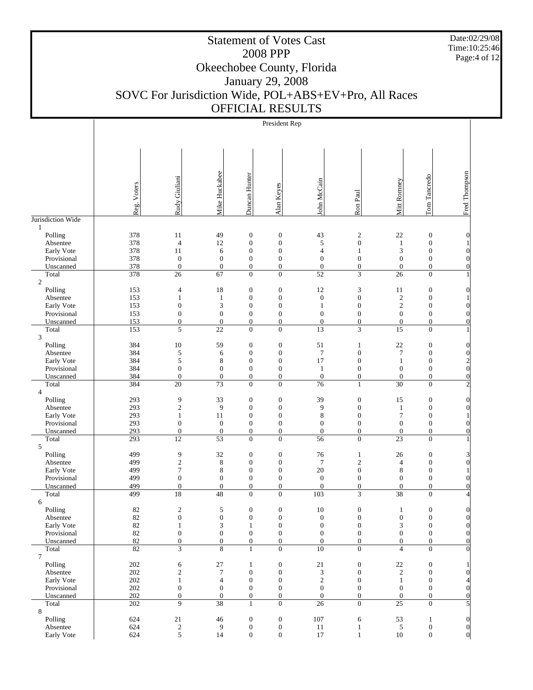Date:02/29/08 Time:10:25:46 Page:4 of 12

Τ

# Statement of Votes Cast 2008 PPP Okeechobee County, Florida January 29, 2008 SOVC For Jurisdiction Wide, POL+ABS+EV+Pro, All Races OFFICIAL RESULTS

Τ

| President Rep |  |
|---------------|--|
|               |  |

|                           | Reg. Voters | Rudy Giuliani                        | Mike Huckabee                        | Duncan Hunter                        | Alan Keyes                           | John McCain                          | Ron Paul                             | Mitt Ronney                        | Tom Tancredo                         | Fred Thompson                             |
|---------------------------|-------------|--------------------------------------|--------------------------------------|--------------------------------------|--------------------------------------|--------------------------------------|--------------------------------------|------------------------------------|--------------------------------------|-------------------------------------------|
|                           |             |                                      |                                      |                                      |                                      |                                      |                                      |                                    |                                      |                                           |
| Jurisdiction Wide         |             |                                      |                                      |                                      |                                      |                                      |                                      |                                    |                                      |                                           |
| 1<br>Polling              | 378         | 11                                   | 49                                   | $\boldsymbol{0}$                     | $\boldsymbol{0}$                     | 43                                   | $\mathfrak{2}$                       | 22                                 | $\boldsymbol{0}$                     | $\theta$                                  |
| Absentee                  | 378         | $\overline{4}$                       | 12                                   | $\boldsymbol{0}$                     | $\boldsymbol{0}$                     | 5                                    | $\boldsymbol{0}$                     | $\mathbf{1}$                       | $\boldsymbol{0}$                     |                                           |
| Early Vote                | 378         | 11                                   | 6                                    | $\boldsymbol{0}$                     | $\boldsymbol{0}$                     | $\overline{4}$                       | $\mathbf{1}$                         | 3                                  | $\boldsymbol{0}$                     | $\boldsymbol{0}$                          |
| Provisional               | 378         | $\boldsymbol{0}$                     | $\boldsymbol{0}$                     | $\boldsymbol{0}$                     | $\boldsymbol{0}$                     | $\boldsymbol{0}$                     | $\boldsymbol{0}$                     | $\mathbf{0}$                       | $\boldsymbol{0}$                     | $\theta$                                  |
| Unscanned<br>Total        | 378<br>378  | $\boldsymbol{0}$<br>26               | $\boldsymbol{0}$<br>67               | $\boldsymbol{0}$<br>$\overline{0}$   | $\boldsymbol{0}$<br>$\boldsymbol{0}$ | $\boldsymbol{0}$<br>$\overline{52}$  | $\boldsymbol{0}$<br>3                | $\mathbf{0}$<br>26                 | $\boldsymbol{0}$<br>$\mathbf{0}$     | $\theta$                                  |
| $\overline{2}$            |             |                                      |                                      |                                      |                                      |                                      |                                      |                                    |                                      |                                           |
| Polling                   | 153         | 4                                    | 18                                   | $\boldsymbol{0}$                     | $\boldsymbol{0}$                     | 12                                   | 3                                    | 11                                 | $\boldsymbol{0}$                     | $\overline{0}$                            |
| Absentee                  | 153         | 1                                    | $\mathbf{1}$                         | $\boldsymbol{0}$                     | $\boldsymbol{0}$                     | $\boldsymbol{0}$                     | $\boldsymbol{0}$                     | $\mathfrak{2}$                     | $\boldsymbol{0}$                     |                                           |
| Early Vote                | 153         | $\boldsymbol{0}$                     | 3                                    | $\boldsymbol{0}$                     | $\boldsymbol{0}$                     | 1                                    | $\boldsymbol{0}$                     | 2                                  | $\boldsymbol{0}$                     | $\overline{0}$                            |
| Provisional               | 153<br>153  | $\boldsymbol{0}$<br>$\boldsymbol{0}$ | $\boldsymbol{0}$<br>$\boldsymbol{0}$ | $\boldsymbol{0}$<br>$\boldsymbol{0}$ | $\boldsymbol{0}$<br>$\boldsymbol{0}$ | $\boldsymbol{0}$<br>$\boldsymbol{0}$ | $\boldsymbol{0}$<br>$\boldsymbol{0}$ | $\mathbf{0}$<br>$\mathbf{0}$       | $\boldsymbol{0}$<br>$\boldsymbol{0}$ | $\boldsymbol{0}$<br>$\theta$              |
| Unscanned<br>Total        | 153         | 5                                    | $\overline{22}$                      | $\overline{0}$                       | $\overline{0}$                       | $\overline{13}$                      | 3                                    | $\overline{15}$                    | $\mathbf{0}$                         |                                           |
| 3                         |             |                                      |                                      |                                      |                                      |                                      |                                      |                                    |                                      |                                           |
| Polling                   | 384         | 10                                   | 59                                   | $\boldsymbol{0}$                     | $\boldsymbol{0}$                     | 51                                   | $\mathbf{1}$                         | $22\,$                             | $\boldsymbol{0}$                     | $\boldsymbol{0}$                          |
| Absentee                  | 384         | 5                                    | 6                                    | $\boldsymbol{0}$                     | $\boldsymbol{0}$                     | $\tau$                               | $\boldsymbol{0}$                     | $\tau$                             | $\boldsymbol{0}$                     | $\mathbf{0}$                              |
| Early Vote<br>Provisional | 384<br>384  | 5<br>$\boldsymbol{0}$                | 8<br>$\boldsymbol{0}$                | $\boldsymbol{0}$<br>$\boldsymbol{0}$ | $\boldsymbol{0}$<br>$\boldsymbol{0}$ | 17<br>$\mathbf{1}$                   | $\boldsymbol{0}$<br>$\boldsymbol{0}$ | $\mathbf{1}$<br>$\mathbf{0}$       | $\boldsymbol{0}$<br>$\boldsymbol{0}$ | $\overline{\mathbf{c}}$<br>$\overline{0}$ |
| Unscanned                 | 384         | $\boldsymbol{0}$                     | $\boldsymbol{0}$                     | $\boldsymbol{0}$                     | $\boldsymbol{0}$                     | $\boldsymbol{0}$                     | $\boldsymbol{0}$                     | $\mathbf{0}$                       | $\boldsymbol{0}$                     | $\overline{0}$                            |
| Total                     | 384         | $\overline{20}$                      | $\overline{73}$                      | $\overline{0}$                       | $\overline{0}$                       | 76                                   | 1                                    | $\overline{30}$                    | $\mathbf{0}$                         | $\overline{c}$                            |
| $\overline{4}$            |             |                                      |                                      |                                      |                                      |                                      |                                      |                                    |                                      |                                           |
| Polling                   | 293         | 9                                    | 33                                   | $\boldsymbol{0}$                     | $\boldsymbol{0}$                     | 39                                   | $\boldsymbol{0}$                     | 15                                 | $\boldsymbol{0}$                     | $\theta$                                  |
| Absentee<br>Early Vote    | 293<br>293  | $\sqrt{2}$<br>$\mathbf{1}$           | 9<br>11                              | $\boldsymbol{0}$<br>$\boldsymbol{0}$ | $\boldsymbol{0}$<br>$\boldsymbol{0}$ | 9<br>8                               | $\boldsymbol{0}$<br>$\boldsymbol{0}$ | $\mathbf{1}$<br>$\tau$             | $\boldsymbol{0}$<br>$\boldsymbol{0}$ | $\theta$                                  |
| Provisional               | 293         | $\boldsymbol{0}$                     | $\boldsymbol{0}$                     | $\boldsymbol{0}$                     | $\boldsymbol{0}$                     | $\boldsymbol{0}$                     | $\boldsymbol{0}$                     | $\mathbf{0}$                       | $\boldsymbol{0}$                     | $\boldsymbol{0}$                          |
| Unscanned                 | 293         | $\boldsymbol{0}$                     | $\boldsymbol{0}$                     | $\boldsymbol{0}$                     | $\boldsymbol{0}$                     | $\boldsymbol{0}$                     | $\boldsymbol{0}$                     | $\boldsymbol{0}$                   | $\boldsymbol{0}$                     | $\overline{0}$                            |
| Total                     | 293         | $\overline{12}$                      | $\overline{53}$                      | $\overline{0}$                       | $\boldsymbol{0}$                     | 56                                   | $\overline{0}$                       | 23                                 | $\mathbf{0}$                         |                                           |
| 5<br>Polling              | 499         | 9                                    | 32                                   | $\boldsymbol{0}$                     | $\boldsymbol{0}$                     | 76                                   | $\mathbf{1}$                         | 26                                 | $\boldsymbol{0}$                     |                                           |
| Absentee                  | 499         | $\overline{\mathbf{c}}$              | $\,$ 8 $\,$                          | $\boldsymbol{0}$                     | $\boldsymbol{0}$                     | 7                                    | $\overline{c}$                       | 4                                  | $\boldsymbol{0}$                     | 3<br>$\overline{0}$                       |
| Early Vote                | 499         | $\tau$                               | 8                                    | $\boldsymbol{0}$                     | $\boldsymbol{0}$                     | 20                                   | $\boldsymbol{0}$                     | $\,$ 8 $\,$                        | $\boldsymbol{0}$                     |                                           |
| Provisional               | 499         | $\boldsymbol{0}$                     | $\boldsymbol{0}$                     | $\boldsymbol{0}$                     | $\boldsymbol{0}$                     | $\boldsymbol{0}$                     | $\boldsymbol{0}$                     | $\boldsymbol{0}$                   | $\boldsymbol{0}$                     | $\overline{0}$                            |
| Unscanned                 | 499         | $\boldsymbol{0}$                     | $\boldsymbol{0}$                     | $\boldsymbol{0}$                     | $\boldsymbol{0}$                     | $\boldsymbol{0}$                     | $\boldsymbol{0}$                     | $\mathbf{0}$                       | $\boldsymbol{0}$                     | $\overline{0}$                            |
| Total<br>6                | 499         | 18                                   | 48                                   | $\overline{0}$                       | $\boldsymbol{0}$                     | 103                                  | 3                                    | $\overline{38}$                    | $\mathbf{0}$                         | $\overline{4}$                            |
| Polling                   | 82          | $\mathbf{2}$                         | 5                                    | $\boldsymbol{0}$                     | $\boldsymbol{0}$                     | 10                                   | $\boldsymbol{0}$                     | $\mathbf{1}$                       | $\boldsymbol{0}$                     | $\overline{0}$                            |
| Absentee                  | 82          | $\boldsymbol{0}$                     | $\boldsymbol{0}$                     | $\boldsymbol{0}$                     | $\boldsymbol{0}$                     | $\boldsymbol{0}$                     | $\boldsymbol{0}$                     | $\boldsymbol{0}$                   | $\boldsymbol{0}$                     | $\boldsymbol{0}$                          |
| Early Vote                | 82          | 1                                    | 3                                    | 1                                    | $\boldsymbol{0}$                     | $\boldsymbol{0}$                     | $\boldsymbol{0}$                     | $\mathfrak{Z}$                     | $\boldsymbol{0}$                     | $\vert 0 \vert$                           |
| Provisional               | $82\,$      | $\boldsymbol{0}$                     | $\boldsymbol{0}$                     | $\boldsymbol{0}$                     | $\boldsymbol{0}$                     | $\boldsymbol{0}$                     | $\boldsymbol{0}$                     | $\boldsymbol{0}$                   | $\boldsymbol{0}$                     | $\vert$                                   |
| Unscanned<br>Total        | 82<br>82    | $\boldsymbol{0}$<br>3                | $\boldsymbol{0}$<br>8                | $\boldsymbol{0}$<br>$\mathbf{1}$     | $\boldsymbol{0}$<br>$\boldsymbol{0}$ | $\boldsymbol{0}$<br>$\overline{10}$  | $\boldsymbol{0}$<br>$\overline{0}$   | $\boldsymbol{0}$<br>$\overline{4}$ | $\boldsymbol{0}$<br>$\mathbf{0}$     | $\overline{0}$<br>$\theta$                |
| $\tau$                    |             |                                      |                                      |                                      |                                      |                                      |                                      |                                    |                                      |                                           |
| Polling                   | 202         | 6                                    | $27\,$                               | $\mathbf{1}$                         | $\boldsymbol{0}$                     | $21\,$                               | $\boldsymbol{0}$                     | $22\,$                             | $\boldsymbol{0}$                     |                                           |
| Absentee                  | 202         | $\mathbf{2}$                         | $\boldsymbol{7}$                     | $\boldsymbol{0}$                     | $\boldsymbol{0}$                     | 3                                    | $\boldsymbol{0}$                     | $\overline{c}$                     | $\boldsymbol{0}$                     |                                           |
| Early Vote                | 202         | $\mathbf{1}$                         | $\overline{4}$                       | $\boldsymbol{0}$                     | $\boldsymbol{0}$                     | $\sqrt{2}$                           | $\boldsymbol{0}$                     | $\mathbf{1}$                       | $\boldsymbol{0}$                     | 4                                         |
| Provisional<br>Unscanned  | 202<br>202  | $\boldsymbol{0}$<br>$\boldsymbol{0}$ | $\boldsymbol{0}$<br>$\boldsymbol{0}$ | $\boldsymbol{0}$<br>$\boldsymbol{0}$ | $\boldsymbol{0}$<br>$\boldsymbol{0}$ | $\boldsymbol{0}$<br>$\boldsymbol{0}$ | $\boldsymbol{0}$<br>$\boldsymbol{0}$ | $\mathbf{0}$<br>$\boldsymbol{0}$   | $\boldsymbol{0}$<br>$\boldsymbol{0}$ | $\overline{0}$<br>$\boldsymbol{0}$        |
| Total                     | 202         | 9                                    | $\overline{38}$                      | $\mathbf{1}$                         | $\overline{0}$                       | $\overline{26}$                      | $\boldsymbol{0}$                     | $\overline{25}$                    | $\mathbf{0}$                         | 5                                         |
| 8                         |             |                                      |                                      |                                      |                                      |                                      |                                      |                                    |                                      |                                           |
| Polling                   | 624         | $21\,$                               | $46\,$                               | $\boldsymbol{0}$                     | $\boldsymbol{0}$                     | 107                                  | 6                                    | 53                                 | $\mathbf{1}$                         | $\boldsymbol{0}$                          |
| Absentee<br>Early Vote    | 624<br>624  | $\overline{\mathbf{c}}$<br>5         | 9<br>14                              | $\boldsymbol{0}$<br>$\boldsymbol{0}$ | $\boldsymbol{0}$<br>$\boldsymbol{0}$ | 11<br>17                             | $\mathbf{1}$<br>$\mathbf{1}$         | 5<br>$10\,$                        | $\boldsymbol{0}$<br>$\boldsymbol{0}$ | $\vert 0 \vert$<br>$\vert 0 \vert$        |
|                           |             |                                      |                                      |                                      |                                      |                                      |                                      |                                    |                                      |                                           |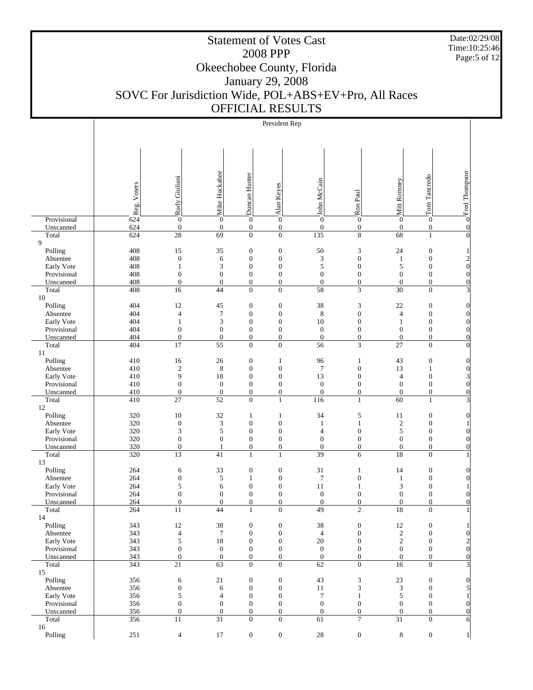Date:02/29/08 Time:10:25:46 Page:5 of 12

 $\overline{1}$ 

# Statement of Votes Cast 2008 PPP Okeechobee County, Florida January 29, 2008 SOVC For Jurisdiction Wide, POL+ABS+EV+Pro, All Races OFFICIAL RESULTS

 $\overline{1}$ 

President Rep

| Mike Huckabee<br>Duncan Hunter                                                                                                                                                                                                                                                                                              | o Fred Thompson                            |
|-----------------------------------------------------------------------------------------------------------------------------------------------------------------------------------------------------------------------------------------------------------------------------------------------------------------------------|--------------------------------------------|
| Tom Tancredo<br>Rudy Giuliani<br>John McCain<br>Mitt Ronney<br>Reg. Voters<br>Alan Keyes                                                                                                                                                                                                                                    |                                            |
| Ron Paul                                                                                                                                                                                                                                                                                                                    |                                            |
|                                                                                                                                                                                                                                                                                                                             |                                            |
| 624<br>$\overline{0}$<br>$\overline{0}$<br>$\overline{0}$<br>$\overline{0}$<br>$\overline{0}$<br>Provisional<br>$\boldsymbol{0}$<br>$\boldsymbol{0}$<br>$\boldsymbol{0}$                                                                                                                                                    |                                            |
| 624<br>$\boldsymbol{0}$<br>$\boldsymbol{0}$<br>$\boldsymbol{0}$<br>$\boldsymbol{0}$<br>$\boldsymbol{0}$<br>$\boldsymbol{0}$<br>Unscanned<br>$\boldsymbol{0}$<br>$\boldsymbol{0}$                                                                                                                                            | $\vert 0 \vert$                            |
| $\overline{28}$<br>$\overline{69}$<br>$\boldsymbol{0}$<br>$\boldsymbol{0}$<br>135<br>8<br>624<br>68<br>$\mathbf{1}$<br>Total<br>9                                                                                                                                                                                           | $\overline{0}$                             |
| 408<br>$\boldsymbol{0}$<br>$\boldsymbol{0}$<br>50<br>3<br>24<br>$\boldsymbol{0}$<br>Polling<br>15<br>35                                                                                                                                                                                                                     | $\mathbf{1}$                               |
| $\ensuremath{\mathfrak{Z}}$<br>408<br>$\boldsymbol{0}$<br>6<br>$\boldsymbol{0}$<br>$\boldsymbol{0}$<br>$\boldsymbol{0}$<br>$\boldsymbol{0}$<br>Absentee<br>$\mathbf{1}$                                                                                                                                                     | $\begin{matrix} 2 \\ 0 \end{matrix}$       |
| $\sqrt{5}$<br>408<br>3<br>$\boldsymbol{0}$<br>$\boldsymbol{0}$<br>$\boldsymbol{0}$<br>5<br>$\boldsymbol{0}$<br>Early Vote<br>$\mathbf{1}$                                                                                                                                                                                   |                                            |
| 408<br>$\boldsymbol{0}$<br>$\boldsymbol{0}$<br>$\boldsymbol{0}$<br>$\boldsymbol{0}$<br>$\boldsymbol{0}$<br>$\boldsymbol{0}$<br>$\boldsymbol{0}$<br>$\boldsymbol{0}$<br>Provisional                                                                                                                                          | $\vert 0 \vert$                            |
| 408<br>$\boldsymbol{0}$<br>$\boldsymbol{0}$<br>$\boldsymbol{0}$<br>$\boldsymbol{0}$<br>$\boldsymbol{0}$<br>$\boldsymbol{0}$<br>Unscanned<br>$\boldsymbol{0}$<br>$\overline{0}$<br>3<br>Total<br>408<br>16<br>44<br>$\overline{0}$<br>$\boldsymbol{0}$<br>58<br>30<br>$\mathbf{0}$                                           | $\overline{0}$<br>$\overline{\mathbf{3}}$  |
| 10                                                                                                                                                                                                                                                                                                                          |                                            |
| 404<br>12<br>$\boldsymbol{0}$<br>$\boldsymbol{0}$<br>38<br>3<br>$22\,$<br>$\boldsymbol{0}$<br>Polling<br>45                                                                                                                                                                                                                 | $\vert 0 \vert$                            |
| $\boldsymbol{7}$<br>404<br>$\overline{4}$<br>$\boldsymbol{0}$<br>$\boldsymbol{0}$<br>$\,$ 8 $\,$<br>$\boldsymbol{0}$<br>$\boldsymbol{0}$<br>$\overline{4}$<br>Absentee                                                                                                                                                      | $\vert 0 \vert$                            |
| 404<br>$\mathfrak{Z}$<br>$\boldsymbol{0}$<br>$\boldsymbol{0}$<br>$10\,$<br>$\boldsymbol{0}$<br>Early Vote<br>$\mathbf{1}$<br>$\mathbf{0}$<br>$\mathbf{1}$<br>$\boldsymbol{0}$<br>$\boldsymbol{0}$<br>$\boldsymbol{0}$<br>$\boldsymbol{0}$<br>$\boldsymbol{0}$                                                               | $\vert 0 \vert$                            |
| 404<br>$\boldsymbol{0}$<br>$\boldsymbol{0}$<br>Provisional<br>$\boldsymbol{0}$<br>404<br>$\boldsymbol{0}$<br>$\boldsymbol{0}$<br>$\boldsymbol{0}$<br>$\boldsymbol{0}$<br>$\boldsymbol{0}$<br>$\boldsymbol{0}$<br>$\boldsymbol{0}$<br>Unscanned<br>$\boldsymbol{0}$                                                          | $\vert 0 \vert$<br>$\overline{0}$          |
| $\boldsymbol{0}$<br>3<br>$\overline{27}$<br>Total<br>404<br>17<br>55<br>$\overline{0}$<br>56<br>$\overline{0}$                                                                                                                                                                                                              | $\overline{0}$                             |
| 11                                                                                                                                                                                                                                                                                                                          |                                            |
| $\boldsymbol{0}$<br>43<br>$\boldsymbol{0}$<br>Polling<br>410<br>16<br>26<br>$\mathbf{1}$<br>96<br>$\mathbf{1}$                                                                                                                                                                                                              | $\vert$                                    |
| $\sqrt{2}$<br>$\,$ 8 $\,$<br>$\boldsymbol{0}$<br>$\boldsymbol{0}$<br>$\boldsymbol{7}$<br>$\boldsymbol{0}$<br>13<br>410<br>$\mathbf{1}$<br>Absentee<br>9<br>18<br>$\boldsymbol{0}$<br>$\boldsymbol{0}$<br>13<br>$\boldsymbol{0}$<br>$\boldsymbol{0}$<br>Early Vote<br>410<br>$\overline{4}$                                  | $\vert 0 \vert$<br>$\overline{\mathbf{3}}$ |
| $\boldsymbol{0}$<br>$\boldsymbol{0}$<br>$\boldsymbol{0}$<br>$\boldsymbol{0}$<br>$\boldsymbol{0}$<br>Provisional<br>410<br>$\boldsymbol{0}$<br>$\mathbf{0}$<br>$\boldsymbol{0}$                                                                                                                                              | $\vert 0 \vert$                            |
| 410<br>$\mathbf{0}$<br>$\boldsymbol{0}$<br>$\boldsymbol{0}$<br>$\boldsymbol{0}$<br>$\boldsymbol{0}$<br>$\boldsymbol{0}$<br>$\boldsymbol{0}$<br>Unscanned<br>$\theta$                                                                                                                                                        | $\overline{0}$                             |
| Total<br>410<br>27<br>52<br>$\boldsymbol{0}$<br>$\mathbf{1}$<br>116<br>$\mathbf{1}$<br>60<br>$\mathbf{1}$                                                                                                                                                                                                                   | $\overline{\mathbf{3}}$                    |
| 12                                                                                                                                                                                                                                                                                                                          |                                            |
| 320<br>10<br>32<br>34<br>5<br>$\boldsymbol{0}$<br>Polling<br>$\mathbf{1}$<br>$\mathbf{1}$<br>11<br>320<br>$\boldsymbol{0}$<br>$\mathfrak{Z}$<br>$\boldsymbol{0}$<br>$\boldsymbol{0}$<br>$\sqrt{2}$<br>$\boldsymbol{0}$<br>Absentee<br>1<br>$\mathbf{1}$                                                                     | $\overline{0}$<br>$\mathbf{1}$             |
| 320<br>$\mathfrak{Z}$<br>5<br>$\boldsymbol{0}$<br>$\boldsymbol{0}$<br>$\overline{4}$<br>$\boldsymbol{0}$<br>5<br>$\boldsymbol{0}$<br>Early Vote                                                                                                                                                                             | $\vert 0 \vert$                            |
| 320<br>$\boldsymbol{0}$<br>$\boldsymbol{0}$<br>$\boldsymbol{0}$<br>$\boldsymbol{0}$<br>$\boldsymbol{0}$<br>$\boldsymbol{0}$<br>$\boldsymbol{0}$<br>Provisional<br>$\mathbf{0}$                                                                                                                                              | $\overline{0}$                             |
| 320<br>$\boldsymbol{0}$<br>$\boldsymbol{0}$<br>$\boldsymbol{0}$<br>$\boldsymbol{0}$<br>$\boldsymbol{0}$<br>$\boldsymbol{0}$<br>$\boldsymbol{0}$<br>Unscanned<br>$\mathbf{1}$                                                                                                                                                | $\overline{0}$                             |
| $\overline{13}$<br>$\overline{39}$<br>320<br>41<br>$\mathbf{1}$<br>$\mathbf{1}$<br>6<br>18<br>$\mathbf{0}$<br>Total<br>13                                                                                                                                                                                                   | $\mathbf{1}$                               |
| 33<br>$\boldsymbol{0}$<br>$\boldsymbol{0}$<br>$\boldsymbol{0}$<br>Polling<br>264<br>6<br>31<br>14<br>$\mathbf{1}$                                                                                                                                                                                                           | $\vert$                                    |
| 264<br>$\boldsymbol{0}$<br>5<br>$\boldsymbol{0}$<br>$\boldsymbol{7}$<br>$\boldsymbol{0}$<br>$\boldsymbol{0}$<br>$\mathbf{1}$<br>$\mathbf{1}$<br>Absentee                                                                                                                                                                    | $\vert 0 \vert$                            |
| 5<br>$\boldsymbol{0}$<br>$\boldsymbol{0}$<br>Early Vote<br>264<br>11<br>3<br>$\boldsymbol{0}$<br>6<br>$\mathbf{1}$                                                                                                                                                                                                          | $\mathbf{1}$                               |
| 264<br>$\boldsymbol{0}$<br>$\boldsymbol{0}$<br>$\boldsymbol{0}$<br>$\boldsymbol{0}$<br>$\boldsymbol{0}$<br>Provisional<br>$\boldsymbol{0}$<br>$\mathbf{0}$<br>$\boldsymbol{0}$                                                                                                                                              | $\vert 0 \vert$                            |
| $\boldsymbol{0}$<br>$\boldsymbol{0}$<br>$\boldsymbol{0}$<br>$\boldsymbol{0}$<br>264<br>$\boldsymbol{0}$<br>$\boldsymbol{0}$<br>$\overline{0}$<br>$\boldsymbol{0}$<br>Unscanned<br>$\overline{2}$<br>Total<br>264<br>11<br>44<br>$\mathbf{1}$<br>$\overline{0}$<br>49<br>18<br>$\overline{0}$                                | $\vert 0 \vert$                            |
| 14                                                                                                                                                                                                                                                                                                                          |                                            |
| 12<br>38<br>$12\,$<br>Polling<br>343<br>$\boldsymbol{0}$<br>$\boldsymbol{0}$<br>38<br>$\boldsymbol{0}$<br>$\boldsymbol{0}$                                                                                                                                                                                                  | $\frac{1}{2}$                              |
| $\overline{7}$<br>$\sqrt{2}$<br>343<br>$\overline{4}$<br>$\boldsymbol{0}$<br>$\boldsymbol{0}$<br>$\overline{4}$<br>$\overline{0}$<br>$\overline{0}$<br>Absentee                                                                                                                                                             | $\vert 0 \vert$                            |
| $\sqrt{5}$<br>$\sqrt{2}$<br>Early Vote<br>343<br>18<br>$\boldsymbol{0}$<br>$\boldsymbol{0}$<br>$20\,$<br>$\boldsymbol{0}$<br>$\boldsymbol{0}$<br>Provisional<br>343<br>$\boldsymbol{0}$<br>$\boldsymbol{0}$<br>$\boldsymbol{0}$<br>$\boldsymbol{0}$<br>$\boldsymbol{0}$<br>$\mathbf{0}$<br>$\boldsymbol{0}$<br>$\mathbf{0}$ | $\frac{2}{0}$                              |
| 343<br>$\mathbf{0}$<br>$\mathbf{0}$<br>$\boldsymbol{0}$<br>$\boldsymbol{0}$<br>$\mathbf{0}$<br>$\boldsymbol{0}$<br>$\boldsymbol{0}$<br>$\boldsymbol{0}$<br>Unscanned                                                                                                                                                        | $\overline{0}$                             |
| $\overline{21}$<br>$\overline{0}$<br>Total<br>343<br>63<br>$\overline{0}$<br>62<br>$\mathbf{0}$<br>16<br>$\Omega$                                                                                                                                                                                                           | $\overline{\mathbf{3}}$                    |
| 15                                                                                                                                                                                                                                                                                                                          |                                            |
| Polling<br>21<br>$\boldsymbol{0}$<br>$\boldsymbol{0}$<br>43<br>3<br>$23\,$<br>356<br>6<br>$\mathbf{0}$                                                                                                                                                                                                                      | $\vert 0 \vert$                            |
| $\mathfrak{Z}$<br>356<br>$\boldsymbol{0}$<br>$\sqrt{6}$<br>$\boldsymbol{0}$<br>$\boldsymbol{0}$<br>$11\,$<br>$\mathfrak{Z}$<br>$\mathbf{0}$<br>Absentee<br>356<br>5<br>$\boldsymbol{0}$<br>$\boldsymbol{0}$<br>$\boldsymbol{7}$<br>Early Vote<br>$\overline{4}$<br>5<br>$\mathbf{0}$<br>$\mathbf{1}$                        | $\mathbf{5}$<br>$1\vert$                   |
| $\boldsymbol{0}$<br>356<br>$\boldsymbol{0}$<br>$\mathbf{0}$<br>$\boldsymbol{0}$<br>$\boldsymbol{0}$<br>$\mathbf{0}$<br>$\mathbf{0}$<br>$\mathbf{0}$<br>Provisional                                                                                                                                                          | $\vert 0 \vert$                            |
| 356<br>$\boldsymbol{0}$<br>$\boldsymbol{0}$<br>$\boldsymbol{0}$<br>$\boldsymbol{0}$<br>$\boldsymbol{0}$<br>$\boldsymbol{0}$<br>Unscanned<br>$\theta$<br>$\overline{0}$                                                                                                                                                      | $\vert 0 \vert$                            |
| $\overline{31}$<br>$\tau$<br>$\overline{31}$<br>Total<br>356<br>11<br>$\overline{0}$<br>$\boldsymbol{0}$<br>61<br>$\Omega$                                                                                                                                                                                                  | $\mathbf{d}$                               |
| 16<br>$251\,$<br>$\overline{4}$<br>$17\,$<br>$\boldsymbol{0}$<br>$\boldsymbol{0}$<br>$28\,$<br>$\boldsymbol{0}$<br>$\,8\,$<br>$\boldsymbol{0}$<br>Polling                                                                                                                                                                   |                                            |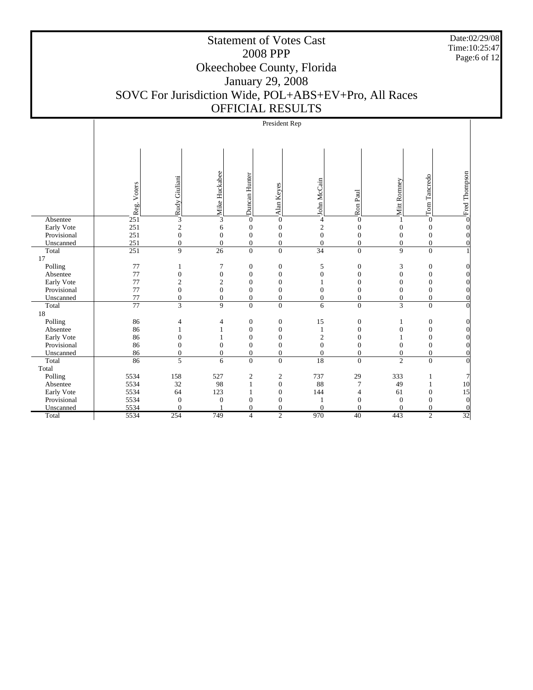Date:02/29/08 Time:10:25:47 Page:6 of 12

# Statement of Votes Cast 2008 PPP Okeechobee County, Florida January 29, 2008 SOVC For Jurisdiction Wide, POL+ABS+EV+Pro, All Races OFFICIAL RESULTS

#### President Rep

|             |                  |                  | Mike Huckabee    |                  |                  |                  |                  |                  |                  | Fred Thompson |
|-------------|------------------|------------------|------------------|------------------|------------------|------------------|------------------|------------------|------------------|---------------|
|             |                  | Rudy Giuliani    |                  | Duncan Hunter    |                  | John McCain      |                  | Mitt Ronney      | Tancredo         |               |
|             | Reg. Voters      |                  |                  |                  | Alan Keyes       |                  | Ron Paul         |                  |                  |               |
|             |                  |                  |                  |                  |                  |                  |                  |                  |                  |               |
|             |                  |                  |                  |                  |                  |                  |                  |                  | Tom <sup>'</sup> |               |
| Absentee    | 251              | $\overline{3}$   | $\overline{3}$   | $\mathbf{0}$     | $\overline{0}$   | 4                | $\theta$         | 1                | $\mathbf{0}$     |               |
| Early Vote  | 251              | $\overline{c}$   | 6                | $\boldsymbol{0}$ | $\boldsymbol{0}$ | $\mathbf{2}$     | $\boldsymbol{0}$ | $\boldsymbol{0}$ | $\mathbf{0}$     |               |
| Provisional | 251              | $\boldsymbol{0}$ | $\overline{0}$   | $\boldsymbol{0}$ | $\boldsymbol{0}$ | $\overline{0}$   | $\overline{0}$   | $\boldsymbol{0}$ | $\mathbf{0}$     |               |
| Unscanned   | 251              | $\boldsymbol{0}$ | $\boldsymbol{0}$ | $\boldsymbol{0}$ | $\boldsymbol{0}$ | $\boldsymbol{0}$ | $\boldsymbol{0}$ | $\boldsymbol{0}$ | $\boldsymbol{0}$ |               |
| Total       | $\overline{251}$ | 9                | 26               | $\overline{0}$   | $\overline{0}$   | 34               | $\overline{0}$   | 9                | $\overline{0}$   |               |
| 17          |                  |                  |                  |                  |                  |                  |                  |                  |                  |               |
| Polling     | 77               | 1                | $\tau$           | $\boldsymbol{0}$ | $\boldsymbol{0}$ | 5                | $\boldsymbol{0}$ | 3                | $\boldsymbol{0}$ |               |
| Absentee    | 77               | $\boldsymbol{0}$ | $\boldsymbol{0}$ | $\boldsymbol{0}$ | $\boldsymbol{0}$ | $\overline{0}$   | $\mathbf{0}$     | $\boldsymbol{0}$ | $\mathbf{0}$     |               |
| Early Vote  | 77               | $\mathbf{2}$     | $\sqrt{2}$       | $\overline{0}$   | $\overline{0}$   |                  | $\mathbf{0}$     | $\mathbf{0}$     | $\mathbf{0}$     |               |
| Provisional | 77               | $\overline{0}$   | $\boldsymbol{0}$ | $\mathbf{0}$     | $\overline{0}$   | $\Omega$         | $\Omega$         | $\Omega$         | $\Omega$         |               |
| Unscanned   | 77               | $\boldsymbol{0}$ | $\boldsymbol{0}$ | $\overline{0}$   | $\boldsymbol{0}$ | $\theta$         | $\mathbf{0}$     | $\mathbf{0}$     | $\mathbf{0}$     |               |
| Total       | $\overline{77}$  | $\overline{3}$   | 9                | $\overline{0}$   | $\overline{0}$   | 6                | $\overline{0}$   | $\overline{3}$   | $\Omega$         |               |
| 18          |                  |                  |                  |                  |                  |                  |                  |                  |                  |               |
| Polling     | 86               | 4                | 4                | $\boldsymbol{0}$ | $\boldsymbol{0}$ | 15               | $\boldsymbol{0}$ | 1                | $\boldsymbol{0}$ |               |
| Absentee    | 86               | 1                | 1                | $\mathbf{0}$     | $\boldsymbol{0}$ | 1                | $\mathbf{0}$     | $\mathbf{0}$     | $\mathbf{0}$     |               |
| Early Vote  | 86               | $\Omega$         | 1                | $\mathbf{0}$     | $\boldsymbol{0}$ | $\overline{2}$   | $\Omega$         | 1                | $\mathbf{0}$     |               |
| Provisional | 86               | $\overline{0}$   | $\mathbf{0}$     | $\mathbf{0}$     | $\boldsymbol{0}$ | $\overline{0}$   | $\mathbf{0}$     | $\mathbf{0}$     | $\mathbf{0}$     |               |
| Unscanned   | 86               | $\boldsymbol{0}$ | $\mathbf{0}$     | $\boldsymbol{0}$ | $\boldsymbol{0}$ | $\mathbf{0}$     | $\boldsymbol{0}$ | $\boldsymbol{0}$ | $\boldsymbol{0}$ |               |
| Total       | 86               | 5                | 6                | $\overline{0}$   | $\boldsymbol{0}$ | 18               | $\overline{0}$   | $\overline{2}$   | $\overline{0}$   |               |
| Total       |                  |                  |                  |                  |                  |                  |                  |                  |                  |               |
| Polling     | 5534             | 158              | 527              | $\boldsymbol{2}$ | $\boldsymbol{2}$ | 737              | 29               | 333              |                  |               |
| Absentee    | 5534             | 32               | 98               | 1                | $\boldsymbol{0}$ | 88               | 7                | 49               |                  | 10            |
| Early Vote  | 5534             | 64               | 123              |                  | $\boldsymbol{0}$ | 144              | 4                | 61               | $\Omega$         | 15            |
| Provisional | 5534             | $\overline{0}$   | $\boldsymbol{0}$ | $\overline{0}$   | $\boldsymbol{0}$ |                  | $\Omega$         | $\boldsymbol{0}$ | $\Omega$         | $\theta$      |
| Unscanned   | 5534             | $\Omega$         |                  | $\Omega$         | $\overline{0}$   | $\theta$         | $\Omega$         | $\Omega$         | $\Omega$         |               |
| Total       | 5534             | 254              | 749              | $\overline{4}$   | $\overline{2}$   | 970              | 40               | 443              | $\overline{2}$   | 32            |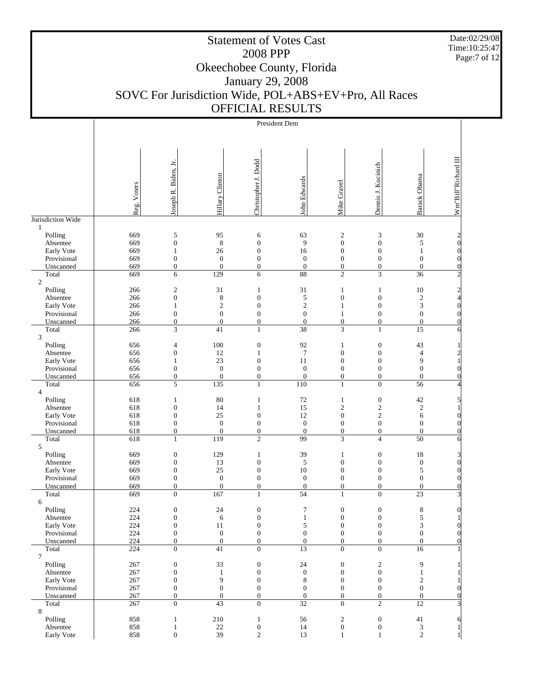Date:02/29/08 Time:10:25:47 Page:7 of 12

# Statement of Votes Cast 2008 PPP Okeechobee County, Florida January 29, 2008 SOVC For Jurisdiction Wide, POL+ABS+EV+Pro, All Races OFFICIAL RESULTS

|                           |             |                                      |                        |                                  | President Dem          |                                  |                                  |                               |                                              |
|---------------------------|-------------|--------------------------------------|------------------------|----------------------------------|------------------------|----------------------------------|----------------------------------|-------------------------------|----------------------------------------------|
|                           |             |                                      |                        |                                  |                        |                                  |                                  |                               |                                              |
|                           |             |                                      |                        |                                  |                        |                                  |                                  |                               |                                              |
|                           |             |                                      |                        |                                  |                        |                                  |                                  |                               |                                              |
|                           |             |                                      |                        |                                  |                        |                                  |                                  |                               |                                              |
|                           |             | Joseph R. Biden, Jr.                 |                        | Christopher J. Dodd              |                        |                                  | Dennis J. Kucinich               |                               | Wm"Bill"Richard III                          |
|                           |             |                                      |                        |                                  |                        |                                  |                                  |                               |                                              |
|                           |             |                                      |                        |                                  |                        |                                  |                                  |                               |                                              |
|                           |             |                                      |                        |                                  |                        |                                  |                                  |                               |                                              |
|                           |             |                                      |                        |                                  |                        |                                  |                                  |                               |                                              |
|                           | Reg. Voters |                                      | <b>Hillary Clinton</b> |                                  | John Edwards           | Mike Gravel                      |                                  | Barack Obama                  |                                              |
| Jurisdiction Wide         |             |                                      |                        |                                  |                        |                                  |                                  |                               |                                              |
| $\mathbf{1}$              |             |                                      |                        |                                  |                        |                                  |                                  |                               |                                              |
| Polling                   | 669         | 5                                    | 95                     | 6                                | 63                     | $\boldsymbol{2}$                 | 3                                | 30                            |                                              |
| Absentee                  | 669         | $\boldsymbol{0}$                     | $\,$ 8 $\,$            | $\mathbf{0}$                     | 9                      | $\boldsymbol{0}$                 | $\boldsymbol{0}$                 | 5                             | $\begin{matrix} 2 \\ 0 \end{matrix}$         |
| Early Vote                | 669         | $\mathbf{1}$                         | 26                     | $\mathbf{0}$                     | 16                     | $\boldsymbol{0}$                 | $\mathbf{0}$                     | $\mathbf{1}$                  | $\vert 0 \vert$                              |
| Provisional               | 669         | $\boldsymbol{0}$                     | $\boldsymbol{0}$       | $\mathbf{0}$                     | $\boldsymbol{0}$       | $\boldsymbol{0}$                 | $\mathbf{0}$                     | $\mathbf{0}$                  | $\vert 0 \vert$                              |
| Unscanned                 | 669         | $\boldsymbol{0}$                     | $\boldsymbol{0}$       | $\mathbf{0}$                     | $\boldsymbol{0}$       | $\boldsymbol{0}$                 | $\boldsymbol{0}$                 | $\mathbf{0}$                  | $\overline{0}$                               |
| Total                     | 669         | 6                                    | 129                    | 6                                | 88                     | $\overline{c}$                   | 3                                | 36                            | $\overline{2}$                               |
| $\mathfrak{2}$            |             |                                      |                        |                                  |                        |                                  |                                  |                               |                                              |
| Polling                   | 266         | $\sqrt{2}$                           | 31                     | $\mathbf{1}$                     | 31                     | $\mathbf{1}$                     | 1                                | 10                            | $\begin{array}{c}\n2 \\ 4 \\ 0\n\end{array}$ |
| Absentee                  | 266         | $\boldsymbol{0}$                     | $\,8$                  | $\boldsymbol{0}$                 | 5                      | $\boldsymbol{0}$                 | $\boldsymbol{0}$                 | $\sqrt{2}$                    |                                              |
| Early Vote                | 266         | $\mathbf{1}$                         | $\mathbf{2}$           | $\overline{0}$                   | $\mathbf{2}$           | $\mathbf{1}$                     | $\overline{0}$                   | 3                             |                                              |
| Provisional               | 266         | $\boldsymbol{0}$                     | $\boldsymbol{0}$       | $\mathbf{0}$                     | $\boldsymbol{0}$       | $\mathbf{1}$                     | $\boldsymbol{0}$                 | $\boldsymbol{0}$              | $\vert 0 \vert$                              |
| Unscanned                 | 266         | $\boldsymbol{0}$                     | $\boldsymbol{0}$       | $\boldsymbol{0}$                 | $\boldsymbol{0}$       | $\boldsymbol{0}$                 | $\boldsymbol{0}$                 | $\mathbf{0}$                  | $\vert 0 \vert$                              |
| Total                     | 266         | 3                                    | 41                     | $\mathbf{1}$                     | 38                     | 3                                | $\mathbf{1}$                     | 15                            | $6 \times$                                   |
| 3                         |             |                                      | 100                    |                                  |                        |                                  |                                  |                               |                                              |
| Polling                   | 656<br>656  | $\overline{4}$<br>$\boldsymbol{0}$   | 12                     | $\boldsymbol{0}$<br>$\mathbf{1}$ | 92<br>$\boldsymbol{7}$ | $\mathbf{1}$<br>$\boldsymbol{0}$ | $\boldsymbol{0}$<br>$\mathbf{0}$ | 43                            |                                              |
| Absentee                  | 656         | $\mathbf{1}$                         | 23                     | $\mathbf{0}$                     | 11                     | $\boldsymbol{0}$                 | $\boldsymbol{0}$                 | $\overline{\mathcal{L}}$<br>9 | $\frac{2}{1}$                                |
| Early Vote<br>Provisional | 656         | $\boldsymbol{0}$                     | $\mathbf{0}$           | $\overline{0}$                   | $\boldsymbol{0}$       | $\boldsymbol{0}$                 | $\theta$                         | $\mathbf{0}$                  | $\overline{0}$                               |
| Unscanned                 | 656         | $\boldsymbol{0}$                     | $\boldsymbol{0}$       | $\mathbf{0}$                     | $\mathbf{0}$           | $\boldsymbol{0}$                 | $\boldsymbol{0}$                 | $\mathbf{0}$                  | $\overline{0}$                               |
| Total                     | 656         | 5                                    | 135                    | $\mathbf{1}$                     | 110                    | $\mathbf{1}$                     | $\mathbf{0}$                     | 56                            | $\overline{4}$                               |
| $\overline{4}$            |             |                                      |                        |                                  |                        |                                  |                                  |                               |                                              |
| Polling                   | 618         | $\mathbf{1}$                         | 80                     | $\mathbf{1}$                     | $72\,$                 | $\mathbf{1}$                     | $\boldsymbol{0}$                 | 42                            | $\mathfrak{h}$                               |
| Absentee                  | 618         | $\boldsymbol{0}$                     | 14                     | $\mathbf{1}$                     | 15                     | $\overline{c}$                   | $\mathfrak{2}$                   | $\sqrt{2}$                    | 1                                            |
| Early Vote                | 618         | $\boldsymbol{0}$                     | 25                     | $\theta$                         | 12                     | $\boldsymbol{0}$                 | $\mathbf{c}$                     | 6                             | $\vert 0 \vert$                              |
| Provisional               | 618         | $\boldsymbol{0}$                     | $\boldsymbol{0}$       | $\mathbf{0}$                     | $\boldsymbol{0}$       | $\boldsymbol{0}$                 | $\boldsymbol{0}$                 | $\mathbf{0}$                  | $\vert 0 \vert$                              |
| Unscanned                 | 618         | $\boldsymbol{0}$                     | $\boldsymbol{0}$       | $\boldsymbol{0}$                 | $\mathbf{0}$           | $\boldsymbol{0}$                 | $\boldsymbol{0}$                 | $\mathbf{0}$                  | $\overline{0}$                               |
| Total                     | 618         | $\mathbf{1}$                         | $\overline{119}$       | $\overline{2}$                   | 99                     | 3                                | $\overline{4}$                   | 50                            | $6 \times$                                   |
| 5                         |             |                                      |                        |                                  |                        |                                  |                                  |                               |                                              |
| Polling                   | 669         | $\boldsymbol{0}$                     | 129                    | $\mathbf{1}$                     | 39                     | $\,1$                            | $\boldsymbol{0}$                 | 18                            | $\begin{bmatrix} 3 \\ 0 \end{bmatrix}$       |
| Absentee                  | 669         | $\boldsymbol{0}$                     | 13                     | $\mathbf{0}$                     | 5                      | $\boldsymbol{0}$                 | $\mathbf{0}$                     | $\boldsymbol{0}$              |                                              |
| Early Vote                | 669         | $\boldsymbol{0}$                     | 25                     | $\mathbf{0}$                     | 10                     | $\boldsymbol{0}$                 | $\boldsymbol{0}$                 | 5                             | $\boldsymbol{0}$                             |
| Provisional               | 669         | $\boldsymbol{0}$                     | $\mathbf{0}$           | $\overline{0}$                   | $\boldsymbol{0}$       | $\boldsymbol{0}$                 | $\mathbf{0}$                     | $\mathbf{0}$                  | $\vert 0 \vert$                              |
| Unscanned                 | 669         | $\boldsymbol{0}$                     | $\boldsymbol{0}$       | $\boldsymbol{0}$                 | $\boldsymbol{0}$       | $\boldsymbol{0}$                 | $\boldsymbol{0}$                 | $\mathbf{0}$                  | $\overline{0}$                               |
| Total                     | 669         | $\overline{0}$                       | 167                    | $\mathbf{1}$                     | 54                     | $\mathbf{1}$                     | $\mathbf{0}$                     | 23                            | $\overline{3}$                               |
| 6                         | 224         |                                      |                        | $\boldsymbol{0}$                 | 7                      | $\boldsymbol{0}$                 | $\boldsymbol{0}$                 |                               |                                              |
| Polling<br>Absentee       | 224         | $\boldsymbol{0}$                     | 24<br>6                | $\boldsymbol{0}$                 | $\mathbf{1}$           | $\boldsymbol{0}$                 | $\boldsymbol{0}$                 | 8<br>5                        | $\vert 0 \vert$<br>$1\vert$                  |
| Early Vote                | 224         | $\boldsymbol{0}$<br>$\boldsymbol{0}$ | $11\,$                 | $\boldsymbol{0}$                 | 5                      | $\boldsymbol{0}$                 | $\boldsymbol{0}$                 | $\mathfrak z$                 | $\vert 0 \vert$                              |
| Provisional               | 224         | $\boldsymbol{0}$                     | $\boldsymbol{0}$       | $\boldsymbol{0}$                 | $\boldsymbol{0}$       | $\boldsymbol{0}$                 | $\mathbf{0}$                     | $\mathbf{0}$                  | $\vert 0 \vert$                              |
| Unscanned                 | 224         | $\boldsymbol{0}$                     | $\mathbf{0}$           | $\mathbf{0}$                     | $\boldsymbol{0}$       | $\overline{0}$                   | $\boldsymbol{0}$                 | $\overline{0}$                | $\overline{0}$                               |
| Total                     | 224         | $\boldsymbol{0}$                     | 41                     | $\mathbf{0}$                     | 13                     | $\overline{0}$                   | $\mathbf{0}$                     | 16                            |                                              |
| 7                         |             |                                      |                        |                                  |                        |                                  |                                  |                               |                                              |
| Polling                   | 267         | $\boldsymbol{0}$                     | 33                     | $\boldsymbol{0}$                 | 24                     | $\boldsymbol{0}$                 | $\boldsymbol{2}$                 | 9                             |                                              |
| Absentee                  | 267         | $\boldsymbol{0}$                     | $\mathbf{1}$           | $\boldsymbol{0}$                 | $\boldsymbol{0}$       | $\boldsymbol{0}$                 | $\boldsymbol{0}$                 | $\mathbf{1}$                  |                                              |
| Early Vote                | 267         | $\boldsymbol{0}$                     | 9                      | $\boldsymbol{0}$                 | $\,$ 8 $\,$            | $\boldsymbol{0}$                 | $\boldsymbol{0}$                 | $\sqrt{2}$                    | $\mathbf{1}$                                 |
| Provisional               | 267         | $\boldsymbol{0}$                     | $\boldsymbol{0}$       | $\mathbf{0}$                     | $\boldsymbol{0}$       | $\boldsymbol{0}$                 | $\mathbf{0}$                     | $\mathbf{0}$                  | $\overline{0}$                               |
| Unscanned                 | 267         | $\boldsymbol{0}$                     | $\boldsymbol{0}$       | $\mathbf{0}$                     | $\boldsymbol{0}$       | $\boldsymbol{0}$                 | $\mathbf{0}$                     | $\mathbf{0}$                  | $\overline{0}$                               |
| Total                     | 267         | $\boldsymbol{0}$                     | 43                     | $\overline{0}$                   | $\overline{32}$        | $\overline{0}$                   | $\overline{c}$                   | 12                            | $\overline{3}$                               |
| 8                         |             |                                      |                        |                                  |                        |                                  |                                  |                               |                                              |
| Polling                   | 858         | $\mathbf{1}$                         | 210                    | $\mathbf{1}$                     | 56                     | $\boldsymbol{2}$                 | $\boldsymbol{0}$                 | 41                            | $6 \times$                                   |
| Absentee                  | 858         | $\mathbf{1}$                         | $22\,$                 | $\boldsymbol{0}$                 | 14                     | $\boldsymbol{0}$                 | $\mathbf{0}$                     | $\sqrt{3}$                    | $\frac{1}{2}$                                |
| Early Vote                | 858         | $\boldsymbol{0}$                     | 39                     | $\overline{c}$                   | 13                     | $\mathbf{1}$                     | $\mathbf{1}$                     | $\mathbf{2}$                  | $1\vert$                                     |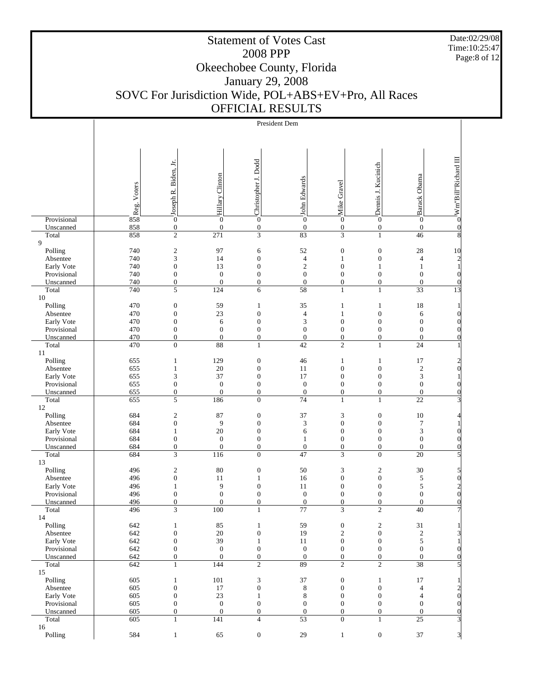Date:02/29/08 Time:10:25:47 Page:8 of 12

#### Statement of Votes Cast 2008 PPP Okeechobee County, Florida January 29, 2008 SOVC For Jurisdiction Wide, POL+ABS+EV+Pro, All Races OFFICIAL RESULTS

|                        |                |                                      |                  | President Dem                    |                        |                                    |                                      |                                  |                                                  |
|------------------------|----------------|--------------------------------------|------------------|----------------------------------|------------------------|------------------------------------|--------------------------------------|----------------------------------|--------------------------------------------------|
|                        |                |                                      |                  |                                  |                        |                                    |                                      |                                  |                                                  |
|                        |                |                                      |                  |                                  |                        |                                    |                                      |                                  |                                                  |
|                        |                |                                      |                  |                                  |                        |                                    |                                      |                                  |                                                  |
|                        |                | Joseph R. Biden, Jr.                 |                  | Christopher J. Dodd              |                        |                                    |                                      |                                  | N'm"Bill"Richard III                             |
|                        |                |                                      |                  |                                  |                        |                                    | Demis J. Kucinich                    |                                  |                                                  |
|                        |                |                                      |                  |                                  |                        |                                    |                                      |                                  |                                                  |
|                        |                |                                      |                  |                                  |                        |                                    |                                      |                                  |                                                  |
|                        |                |                                      |                  |                                  |                        |                                    |                                      |                                  |                                                  |
|                        | os Reg. Voters |                                      | Hillary Clinton  |                                  | John Edwards           | Mike Gravel                        |                                      | Barack Obama                     |                                                  |
| Provisional            |                | $\boldsymbol{0}$                     | $\boldsymbol{0}$ | $\mathbf{0}$                     | $\boldsymbol{0}$       | $\boldsymbol{0}$                   | $\boldsymbol{0}$                     | $\mathbf{0}$                     |                                                  |
| Unscanned              | 858<br>858     | $\boldsymbol{0}$                     | $\boldsymbol{0}$ | $\boldsymbol{0}$                 | $\boldsymbol{0}$       | $\boldsymbol{0}$                   | $\boldsymbol{0}$                     | $\boldsymbol{0}$                 | $\vert 0 \vert$<br>$\overline{8}$                |
| Total<br>9             |                | $\overline{2}$                       | $\overline{271}$ | $\overline{3}$                   | 83                     | 3                                  | $\mathbf{1}$                         | 46                               |                                                  |
| Polling                | 740            | $\sqrt{2}$                           | 97               | 6                                | 52                     | $\boldsymbol{0}$                   | $\boldsymbol{0}$                     | 28                               | 10                                               |
| Absentee               | 740            | $\mathfrak{Z}$                       | 14               | $\mathbf{0}$                     | $\overline{4}$         | $\mathbf{1}$                       | $\boldsymbol{0}$                     | $\overline{\mathcal{L}}$         |                                                  |
| Early Vote             | 740            | $\boldsymbol{0}$                     | 13               | $\mathbf{0}$                     | $\sqrt{2}$             | $\boldsymbol{0}$                   | $\mathbf{1}$                         | $\mathbf{1}$                     | $\begin{bmatrix} 2 \\ 1 \end{bmatrix}$           |
| Provisional            | 740            | $\boldsymbol{0}$                     | $\mathbf{0}$     | $\mathbf{0}$                     | $\boldsymbol{0}$       | $\boldsymbol{0}$                   | $\boldsymbol{0}$                     | $\mathbf{0}$                     | $\vert 0 \vert$                                  |
| Unscanned              | 740            | $\boldsymbol{0}$                     | $\boldsymbol{0}$ | $\boldsymbol{0}$                 | $\boldsymbol{0}$       | $\boldsymbol{0}$                   | $\boldsymbol{0}$                     | $\mathbf{0}$                     | $\vert 0 \vert$                                  |
| Total<br>10            | 740            | 5                                    | 124              | 6                                | 58                     | $\mathbf{1}$                       | $\mathbf{1}$                         | 33                               | $\overline{13}$                                  |
| Polling                | 470            | $\boldsymbol{0}$                     | 59               | $\mathbf{1}$                     | 35                     | $\mathbf{1}$                       | $\mathbf{1}$                         | 18                               | $\mathbf{1}$                                     |
| Absentee               | 470            | $\boldsymbol{0}$                     | 23               | $\mathbf{0}$                     | $\overline{4}$         | $\mathbf{1}$                       | $\boldsymbol{0}$                     | 6                                | $\vert 0 \vert$                                  |
| Early Vote             | 470            | $\boldsymbol{0}$                     | 6                | $\mathbf{0}$                     | $\mathfrak{Z}$         | $\boldsymbol{0}$                   | $\boldsymbol{0}$                     | $\mathbf{0}$                     | $\vert 0 \vert$                                  |
| Provisional            | 470            | $\boldsymbol{0}$                     | $\mathbf{0}$     | $\mathbf{0}$                     | $\boldsymbol{0}$       | $\boldsymbol{0}$                   | $\boldsymbol{0}$                     | $\mathbf{0}$                     | $\vert 0 \vert$                                  |
| Unscanned              | 470            | $\boldsymbol{0}$                     | $\boldsymbol{0}$ | $\boldsymbol{0}$                 | $\boldsymbol{0}$       | $\boldsymbol{0}$                   | $\boldsymbol{0}$                     | $\mathbf{0}$                     | $\overline{0}$                                   |
| Total                  | 470            | $\overline{0}$                       | 88               | $\mathbf{1}$                     | 42                     | $\overline{c}$                     | $\mathbf{1}$                         | 24                               |                                                  |
| 11<br>Polling          | 655            | $\mathbf{1}$                         | 129              | $\boldsymbol{0}$                 | 46                     | $\mathbf{1}$                       | $\mathbf{1}$                         | 17                               |                                                  |
| Absentee               | 655            | $\mathbf{1}$                         | 20               | $\mathbf{0}$                     | 11                     | $\boldsymbol{0}$                   | $\boldsymbol{0}$                     | $\sqrt{2}$                       | $\frac{2}{0}$                                    |
| Early Vote             | 655            | 3                                    | 37               | $\mathbf{0}$                     | 17                     | $\boldsymbol{0}$                   | $\boldsymbol{0}$                     | 3                                | $\mathbf{1}$                                     |
| Provisional            | 655            | $\boldsymbol{0}$                     | $\boldsymbol{0}$ | $\boldsymbol{0}$                 | $\boldsymbol{0}$       | $\boldsymbol{0}$                   | $\boldsymbol{0}$                     | $\boldsymbol{0}$                 | $\vert 0 \vert$                                  |
| Unscanned              | 655            | $\boldsymbol{0}$                     | $\mathbf{0}$     | $\boldsymbol{0}$                 | $\boldsymbol{0}$       | $\boldsymbol{0}$                   | $\boldsymbol{0}$                     | $\mathbf{0}$                     | $\vert 0 \vert$                                  |
| Total                  | 655            | $\mathfrak s$                        | 186              | $\overline{0}$                   | 74                     | $\mathbf{1}$                       | $\mathbf{1}$                         | $\overline{22}$                  | $\mathbf{E}$                                     |
| $12\,$<br>Polling      | 684            | $\sqrt{2}$                           | 87               | $\boldsymbol{0}$                 | 37                     | 3                                  | $\boldsymbol{0}$                     | 10                               |                                                  |
| Absentee               | 684            | $\boldsymbol{0}$                     | 9                | $\mathbf{0}$                     | 3                      | $\boldsymbol{0}$                   | $\boldsymbol{0}$                     | 7                                | $\frac{4}{3}$<br>$\mathbf{1}$                    |
| Early Vote             | 684            | $\mathbf{1}$                         | $20\,$           | $\mathbf{0}$                     | 6                      | $\boldsymbol{0}$                   | $\boldsymbol{0}$                     | 3                                | $\vert 0 \vert$                                  |
| Provisional            | 684            | $\boldsymbol{0}$                     | $\mathbf{0}$     | $\theta$                         | $\mathbf{1}$           | $\boldsymbol{0}$                   | $\boldsymbol{0}$                     | $\boldsymbol{0}$                 | $\vert 0 \vert$                                  |
| Unscanned              | 684            | $\boldsymbol{0}$                     | $\boldsymbol{0}$ | $\boldsymbol{0}$                 | $\boldsymbol{0}$       | $\boldsymbol{0}$                   | $\boldsymbol{0}$                     | $\mathbf{0}$                     | $\vert 0 \vert$                                  |
| Total                  | 684            | 3                                    | 116              | $\overline{0}$                   | 47                     | 3                                  | $\overline{0}$                       | 20                               | $\overline{5}$                                   |
| 13<br>Polling          | 496            |                                      | 80               | $\boldsymbol{0}$                 | 50                     | 3                                  |                                      | 30                               |                                                  |
| Absentee               | 496            | $\overline{c}$<br>$\boldsymbol{0}$   | 11               | $\mathbf{1}$                     | 16                     | $\boldsymbol{0}$                   | $\overline{c}$<br>$\boldsymbol{0}$   | 5                                | $\begin{bmatrix} 5 \\ 0 \\ 2 \\ 0 \end{bmatrix}$ |
| Early Vote             | 496            | $\mathbf{1}$                         | 9                | $\mathbf{0}$                     | 11                     | $\boldsymbol{0}$                   | $\boldsymbol{0}$                     | 5                                |                                                  |
| Provisional            | 496            | $\boldsymbol{0}$                     | $\boldsymbol{0}$ | $\mathbf{0}$                     | $\boldsymbol{0}$       | $\boldsymbol{0}$                   | $\boldsymbol{0}$                     | $\boldsymbol{0}$                 |                                                  |
| Unscanned              | 496            | $\mathbf{0}$                         | $\overline{0}$   | $\overline{0}$                   | $\overline{0}$         | $\overline{0}$                     | $\theta$                             | $\overline{0}$                   | $\overline{0}$                                   |
| Total                  | 496            | 3                                    | 100              |                                  | $\overline{77}$        | 3                                  |                                      | $\overline{40}$                  |                                                  |
| 14                     |                |                                      |                  |                                  |                        |                                    |                                      |                                  |                                                  |
| Polling<br>Absentee    | 642<br>642     | $\mathbf{1}$<br>$\boldsymbol{0}$     | 85<br>$20\,$     | 1<br>$\boldsymbol{0}$            | 59<br>19               | $\boldsymbol{0}$<br>$\overline{c}$ | $\boldsymbol{2}$<br>$\boldsymbol{0}$ | $31\,$<br>$\boldsymbol{2}$       | $\mathbf{E}$                                     |
| Early Vote             | 642            | $\boldsymbol{0}$                     | 39               | $\mathbf{1}$                     | 11                     | $\boldsymbol{0}$                   | $\boldsymbol{0}$                     | 5                                | $\left  \right $                                 |
| Provisional            | 642            | $\boldsymbol{0}$                     | $\boldsymbol{0}$ | $\boldsymbol{0}$                 | $\boldsymbol{0}$       | $\boldsymbol{0}$                   | $\mathbf{0}$                         | $\boldsymbol{0}$                 | $\overline{0}$                                   |
| Unscanned              | 642            | $\boldsymbol{0}$                     | $\boldsymbol{0}$ | $\mathbf{0}$                     | $\boldsymbol{0}$       | $\boldsymbol{0}$                   | $\boldsymbol{0}$                     | $\mathbf{0}$                     | $\vert 0 \vert$                                  |
| Total                  | 642            | $\mathbf{1}$                         | 144              | $\overline{c}$                   | 89                     | $\overline{c}$                     | $\overline{c}$                       | $\overline{38}$                  | $\mathbf{5}$                                     |
| 15                     |                |                                      |                  |                                  |                        |                                    |                                      |                                  |                                                  |
| Polling                | 605            | 1                                    | 101              | 3                                | $37\,$                 | $\boldsymbol{0}$                   | $\mathbf{1}$                         | 17                               | $\mathbf{1}$                                     |
| Absentee<br>Early Vote | 605<br>605     | $\boldsymbol{0}$<br>$\boldsymbol{0}$ | 17<br>23         | $\boldsymbol{0}$<br>$\mathbf{1}$ | $\,8\,$<br>$\,$ 8 $\,$ | $\mathbf{0}$<br>$\mathbf{0}$       | $\boldsymbol{0}$<br>$\boldsymbol{0}$ | $\overline{4}$<br>$\overline{4}$ | $\begin{bmatrix} 2 \\ 0 \end{bmatrix}$           |
| Provisional            | 605            | $\boldsymbol{0}$                     | $\boldsymbol{0}$ | $\mathbf{0}$                     | $\boldsymbol{0}$       | $\mathbf{0}$                       | $\boldsymbol{0}$                     | $\boldsymbol{0}$                 | $\vert 0 \vert$                                  |
| Unscanned              | 605            | $\boldsymbol{0}$                     | $\boldsymbol{0}$ | $\boldsymbol{0}$                 | $\boldsymbol{0}$       | $\mathbf{0}$                       | $\boldsymbol{0}$                     | $\mathbf{0}$                     | $\overline{0}$                                   |
| Total                  | 605            | $\mathbf{1}$                         | 141              | $\overline{4}$                   | 53                     | $\mathbf{0}$                       | $\mathbf{1}$                         | 25                               | $\mathbf{3}$                                     |
| 16                     |                |                                      |                  |                                  |                        |                                    |                                      |                                  |                                                  |
| Polling                | 584            | $\mathbf{1}$                         | 65               | $\boldsymbol{0}$                 | 29                     | $\mathbf{1}$                       | $\boldsymbol{0}$                     | $37\,$                           | $\frac{3}{2}$                                    |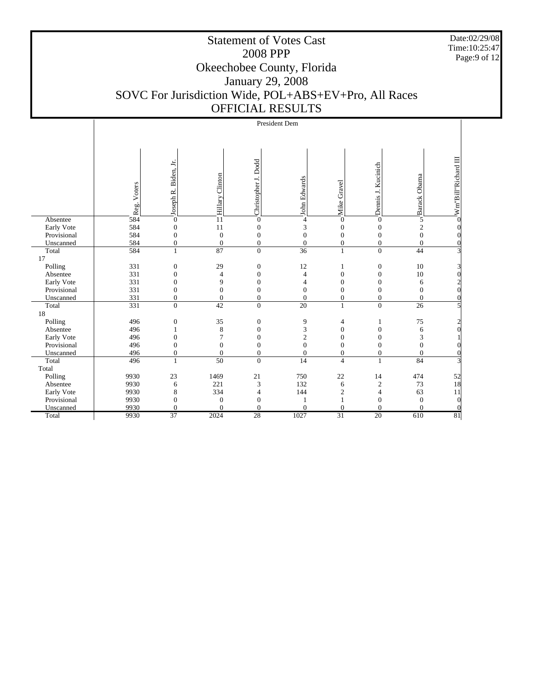Date:02/29/08 Time:10:25:47 Page:9 of 12

|             |             |                                    |                        |                                  | President Dem        |                  |                                |                    |                                          |
|-------------|-------------|------------------------------------|------------------------|----------------------------------|----------------------|------------------|--------------------------------|--------------------|------------------------------------------|
|             |             |                                    |                        |                                  |                      |                  |                                |                    |                                          |
|             |             |                                    |                        |                                  |                      |                  |                                |                    |                                          |
|             | Reg. Voters | Joseph R. Biden, Jr.               | Hillary Clinton        | Dodd<br>Christopher J.           | John Edwards         | Mike Gravel      | Demis J. Kucinich              | Sarack Obama       | Wm"Bill"Richard III                      |
| Absentee    | 584         | $\boldsymbol{0}$                   | $\frac{1}{1}$          | $\overline{0}$                   | 4                    | $\mathbf{0}$     | $\overline{0}$                 |                    |                                          |
| Early Vote  | 584         | $\boldsymbol{0}$                   | 11                     | $\overline{0}$                   | 3                    | $\mathbf{0}$     | $\mathbf{0}$                   | $\mathfrak{2}$     |                                          |
| Provisional | 584         | $\mathbf{0}$                       | $\boldsymbol{0}$       | $\mathbf{0}$                     | $\overline{0}$       | $\mathbf{0}$     | $\boldsymbol{0}$               | $\mathbf{0}$       |                                          |
| Unscanned   | 584         | $\boldsymbol{0}$                   | $\boldsymbol{0}$       | $\boldsymbol{0}$                 | $\boldsymbol{0}$     | $\boldsymbol{0}$ | $\boldsymbol{0}$               | $\boldsymbol{0}$   |                                          |
| Total       | 584         | $\mathbf{1}$                       | 87                     | $\overline{0}$                   | $\overline{36}$      | $\mathbf{1}$     | $\boldsymbol{0}$               | 44                 | $\overline{3}$                           |
| 17          |             |                                    |                        |                                  |                      |                  |                                |                    |                                          |
| Polling     | 331         | $\boldsymbol{0}$                   | 29                     | $\boldsymbol{0}$                 | 12                   | 1                | $\mathbf{0}$                   | 10                 | 3                                        |
| Absentee    | 331         | $\overline{0}$                     | $\overline{4}$         | $\mathbf{0}$                     | $\overline{4}$       | $\mathbf{0}$     | $\overline{0}$                 | 10                 | Ol                                       |
| Early Vote  | 331         | $\overline{0}$                     | 9                      | $\overline{0}$                   | $\overline{4}$       | $\overline{0}$   | $\boldsymbol{0}$               | 6                  | $\frac{2}{2}$<br>$\alpha$                |
| Provisional | 331         | $\mathbf{0}$                       | $\boldsymbol{0}$       | $\boldsymbol{0}$                 | $\overline{0}$       | $\boldsymbol{0}$ | $\boldsymbol{0}$               | $\boldsymbol{0}$   |                                          |
| Unscanned   | 331<br>331  | $\boldsymbol{0}$<br>$\overline{0}$ | $\boldsymbol{0}$<br>42 | $\overline{0}$<br>$\overline{0}$ | $\overline{0}$<br>20 | $\boldsymbol{0}$ | $\mathbf{0}$<br>$\overline{0}$ | $\mathbf{0}$<br>26 | 0<br>$\mathbf{5}$                        |
| Total<br>18 |             |                                    |                        |                                  |                      | $\mathbf{1}$     |                                |                    |                                          |
| Polling     | 496         | $\boldsymbol{0}$                   | 35                     | $\boldsymbol{0}$                 | 9                    | 4                | 1                              | 75                 | $\overline{2}$                           |
| Absentee    | 496         | $\mathbf{1}$                       | 8                      | $\mathbf{0}$                     | 3                    | $\boldsymbol{0}$ | $\mathbf{0}$                   | 6                  | ol                                       |
| Early Vote  | 496         | $\boldsymbol{0}$                   | 7                      | $\mathbf{0}$                     | $\overline{c}$       | $\overline{0}$   | $\boldsymbol{0}$               | 3                  |                                          |
| Provisional | 496         | $\boldsymbol{0}$                   | $\boldsymbol{0}$       | $\overline{0}$                   | $\overline{0}$       | $\overline{0}$   | $\mathbf{0}$                   | $\boldsymbol{0}$   |                                          |
| Unscanned   | 496         | $\boldsymbol{0}$                   | $\overline{0}$         | $\overline{0}$                   | $\overline{0}$       | $\boldsymbol{0}$ | $\boldsymbol{0}$               | $\mathbf{0}$       | 0                                        |
| Total       | 496         | $\mathbf{1}$                       | $\overline{50}$        | $\overline{0}$                   | 14                   | $\overline{4}$   | $\mathbf{1}$                   | 84                 | $\mathbf{E}$                             |
| Total       |             |                                    |                        |                                  |                      |                  |                                |                    |                                          |
| Polling     | 9930        | 23                                 | 1469                   | $21\,$                           | 750                  | 22               | 14                             | 474                |                                          |
| Absentee    | 9930        | 6                                  | 221                    | 3                                | 132                  | 6                | $\boldsymbol{2}$               | 73                 | $\begin{bmatrix} 52 \\ 18 \end{bmatrix}$ |
| Early Vote  | 9930        | $\,$ 8 $\,$                        | 334                    | 4                                | 144                  | $\mathfrak{2}$   | $\overline{4}$                 | 63                 | 11                                       |
| Provisional | 9930        | $\mathbf{0}$                       | $\overline{0}$         | $\overline{0}$                   |                      |                  | $\mathbf{0}$                   | $\theta$           | $\Omega$                                 |
| Unscanned   | 9930        | $\overline{0}$                     | $\overline{0}$         | $\theta$                         | $\theta$             | $\mathbf{0}$     | $\mathbf{0}$                   | $\theta$           | $\Omega$                                 |
| Total       | 9930        | 37                                 | 2024                   | 28                               | 1027                 | $\overline{31}$  | $\overline{20}$                | 610                | 81                                       |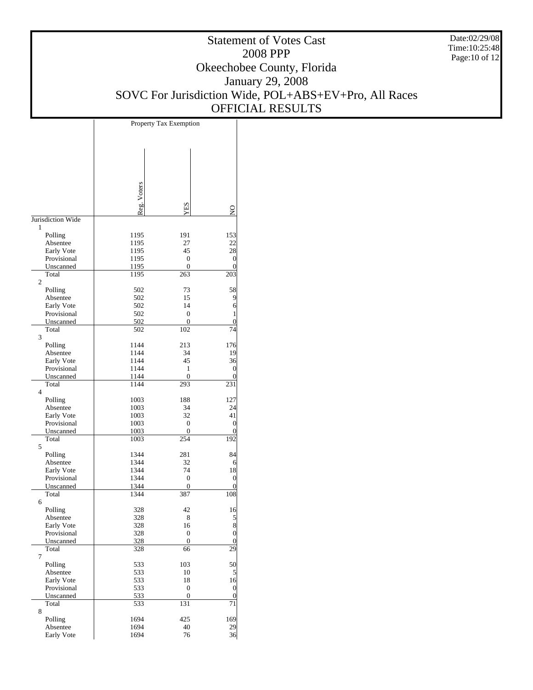Date:02/29/08 Time:10:25:48 Page:10 of 12

# Statement of Votes Cast 2008 PPP Okeechobee County, Florida January 29, 2008 SOVC For Jurisdiction Wide, POL+ABS+EV+Pro, All Races OFFICIAL RESULTS

T

|                           | Property Tax Exemption |                |                       |  |  |  |
|---------------------------|------------------------|----------------|-----------------------|--|--|--|
|                           |                        |                |                       |  |  |  |
|                           |                        |                |                       |  |  |  |
|                           |                        |                |                       |  |  |  |
|                           |                        |                |                       |  |  |  |
|                           |                        |                |                       |  |  |  |
|                           |                        |                |                       |  |  |  |
|                           |                        |                |                       |  |  |  |
|                           |                        |                |                       |  |  |  |
|                           | Reg. Voters            | YES            | g                     |  |  |  |
| Jurisdiction Wide         |                        |                |                       |  |  |  |
| 1                         |                        |                |                       |  |  |  |
| Polling                   | 1195                   | 191            | 153                   |  |  |  |
| Absentee                  | 1195                   | 27             | 22                    |  |  |  |
| Early Vote                | 1195                   | 45             | 28                    |  |  |  |
| Provisional               | 1195                   | 0              | $\mathbf{0}$          |  |  |  |
| Unscanned<br>Total        | 1195<br>1195           | 0<br>263       | $\overline{0}$<br>203 |  |  |  |
| 2                         |                        |                |                       |  |  |  |
| Polling                   | 502                    | 73             | 58                    |  |  |  |
| Absentee                  | 502                    | 15             | 9                     |  |  |  |
| Early Vote                | 502                    | 14             | 6                     |  |  |  |
| Provisional               | 502                    | 0              | 1                     |  |  |  |
| Unscanned                 | 502                    | 0              | $\boldsymbol{0}$      |  |  |  |
| Total<br>3                | 502                    | 102            | 74                    |  |  |  |
| Polling                   | 1144                   | 213            | 176                   |  |  |  |
| Absentee                  | 1144                   | 34             | 19                    |  |  |  |
| Early Vote                | 1144                   | 45             | 36                    |  |  |  |
| Provisional               | 1144                   | 1              | $\overline{0}$        |  |  |  |
| Unscanned                 | 1144                   | $\overline{0}$ | $\overline{0}$        |  |  |  |
| Total                     | 1144                   | 293            | 231                   |  |  |  |
| $\overline{4}$            |                        |                |                       |  |  |  |
| Polling                   | 1003                   | 188            | 127                   |  |  |  |
| Absentee                  | 1003                   | 34             | 24                    |  |  |  |
| Early Vote<br>Provisional | 1003                   | 32<br>0        | 41<br>$\overline{0}$  |  |  |  |
| Unscanned                 | 1003<br>1003           | 0              | $\overline{0}$        |  |  |  |
| Total                     | 1003                   | 254            | 192                   |  |  |  |
| 5                         |                        |                |                       |  |  |  |
| Polling                   | 1344                   | 281            | 84                    |  |  |  |
| Absentee                  | 1344                   | 32             | 6                     |  |  |  |
| Early Vote                | 1344                   | 74             | 18                    |  |  |  |
| Provisional               | 1344                   | 0              | $\mathbf{0}$          |  |  |  |
| Unscanned                 | 1344                   | 0              | 0                     |  |  |  |
| Total<br>6                | 1344                   | 387            | 108                   |  |  |  |
| Polling                   | 328                    | 42             | 16                    |  |  |  |
| Absentee                  | 328                    | 8              | $\mathbf{5}$          |  |  |  |
| Early Vote                | 328                    | 16             | 8                     |  |  |  |
| Provisional               | 328                    | 0              | $\boldsymbol{0}$      |  |  |  |
| Unscanned                 | 328                    | 0              | $\boldsymbol{0}$      |  |  |  |
| Total                     | 328                    | 66             | 29                    |  |  |  |
| 7                         |                        |                |                       |  |  |  |
| Polling                   | 533                    | 103            | 50                    |  |  |  |
| Absentee<br>Early Vote    | 533<br>533             | 10<br>18       | 5<br>16               |  |  |  |
| Provisional               | 533                    | 0              | $\boldsymbol{0}$      |  |  |  |
| Unscanned                 | 533                    | 0              | $\mathbf{0}$          |  |  |  |
| Total                     | 533                    | 131            | 71                    |  |  |  |
| 8                         |                        |                |                       |  |  |  |
| Polling                   | 1694                   | 425            | 169                   |  |  |  |
| Absentee                  | 1694                   | 40             | 29                    |  |  |  |
| Early Vote                | 1694                   | 76             | 36                    |  |  |  |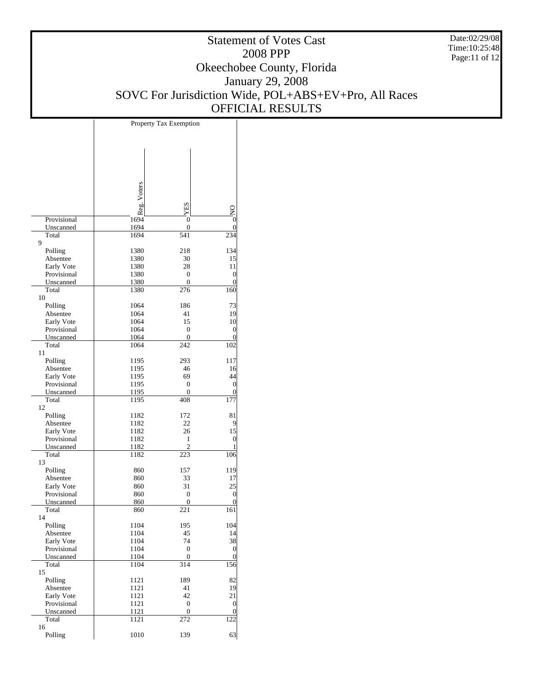Date:02/29/08 Time:10:25:48 Page:11 of 12

|                          | Property Tax Exemption |                  |                                   |  |  |
|--------------------------|------------------------|------------------|-----------------------------------|--|--|
|                          |                        |                  |                                   |  |  |
|                          |                        |                  |                                   |  |  |
|                          |                        |                  |                                   |  |  |
|                          |                        |                  |                                   |  |  |
|                          |                        |                  |                                   |  |  |
|                          |                        |                  |                                   |  |  |
|                          |                        |                  |                                   |  |  |
|                          |                        |                  |                                   |  |  |
|                          |                        |                  |                                   |  |  |
|                          | Reg. Voters            | XES              | $O$ N <sub>I</sub> $\overline{O}$ |  |  |
| Provisional              | 1694                   | 0                |                                   |  |  |
| Unscanned                | 1694                   | 0                |                                   |  |  |
| Total                    | 1694                   | $\overline{541}$ | 234                               |  |  |
| 9                        |                        |                  |                                   |  |  |
| Polling                  | 1380                   | 218              | 134                               |  |  |
| Absentee                 | 1380                   | 30               | 15                                |  |  |
| Early Vote               | 1380                   | 28               | 11                                |  |  |
| Provisional<br>Unscanned | 1380<br>1380           | 0<br>0           | $\mathbf{0}$<br>0                 |  |  |
| Total                    | 1380                   | 276              | 160                               |  |  |
| 10                       |                        |                  |                                   |  |  |
| Polling                  | 1064                   | 186              | 73                                |  |  |
| Absentee                 | 1064                   | 41               | 19                                |  |  |
| Early Vote               | 1064                   | 15               | 10                                |  |  |
| Provisional              | 1064                   | 0                | 0                                 |  |  |
| Unscanned                | 1064                   | 0                | 0                                 |  |  |
| Total                    | 1064                   | 242              | 102                               |  |  |
| 11                       |                        |                  |                                   |  |  |
| Polling                  | 1195                   | 293              | 117                               |  |  |
| Absentee                 | 1195                   | 46               | 16                                |  |  |
| Early Vote               | 1195                   | 69               | 44                                |  |  |
| Provisional              | 1195                   | 0                | $\boldsymbol{0}$                  |  |  |
| Unscanned                | 1195                   | 0                | 0                                 |  |  |
| Total<br>12              | 1195                   | 408              | 177                               |  |  |
| Polling                  | 1182                   | 172              | 81                                |  |  |
| Absentee                 | 1182                   | 22               | 9                                 |  |  |
| Early Vote               | 1182                   | 26               | 15                                |  |  |
| Provisional              | 1182                   | 1                | $\mathbf{0}$                      |  |  |
| Unscanned                | 1182                   | 2                |                                   |  |  |
| Total                    | 1182                   | 223              | 106                               |  |  |
| 13                       |                        |                  |                                   |  |  |
| Polling                  | 860                    | 157              | 119                               |  |  |
| Absentee                 | 860                    | 33               | 17                                |  |  |
| Early Vote               | 860                    | 31               | 25                                |  |  |
| Provisional              | 860                    | 0                | $\boldsymbol{0}$                  |  |  |
| Unscanned                | 860                    | $\boldsymbol{0}$ | $\boldsymbol{0}$                  |  |  |
| Total                    | 860                    | 221              | 161                               |  |  |
| 14                       |                        |                  | 104                               |  |  |
| Polling<br>Absentee      | 1104<br>1104           | 195<br>45        | 4                                 |  |  |
| Early Vote               | 1104                   | 74               | 38                                |  |  |
| Provisional              | 1104                   | $\boldsymbol{0}$ | $\vert 0 \vert$                   |  |  |
| Unscanned                | 1104                   | 0                | $\overline{0}$                    |  |  |
| Total                    | 1104                   | 314              | 156                               |  |  |
| 15                       |                        |                  |                                   |  |  |
| Polling                  | 1121                   | 189              | 82                                |  |  |
| Absentee                 | 1121                   | 41               | 19                                |  |  |
| Early Vote               | 1121                   | 42               | 21                                |  |  |
| Provisional              | 1121                   | 0                | $\vert 0 \vert$                   |  |  |
| Unscanned                | 1121                   | $\boldsymbol{0}$ | $\mathbf{0}$                      |  |  |
| Total                    | 1121                   | 272              | 122                               |  |  |
| 16                       |                        |                  |                                   |  |  |
| Polling                  | 1010                   | 139              | 63                                |  |  |